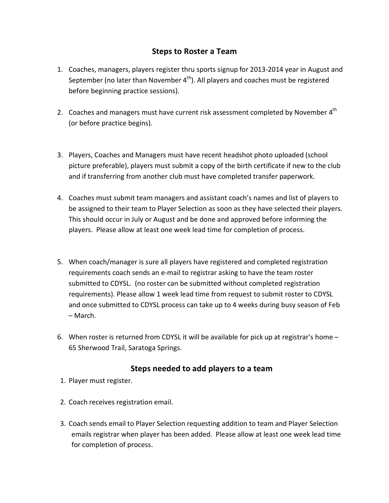## **Steps
to
Roster
a
Team**

- 1. Coaches, managers, players register thru sports signup for 2013-2014 year in August and September (no later than November  $4<sup>th</sup>$ ). All players and coaches must be registered before
beginning
practice
sessions).
- 2. Coaches and managers must have current risk assessment completed by November 4<sup>th</sup> (or
before
practice
begins).
- 3. Players,
Coaches
and
Managers
must
have
recent
headshot
photo
uploaded
(school picture preferable), players must submit a copy of the birth certificate if new to the club and if transferring from another club must have completed transfer paperwork.
- 4. Coaches must submit team managers and assistant coach's names and list of players to be assigned to their team to Player Selection as soon as they have selected their players. This
should
occur
in
July
or
August
and
be
done
and
approved
before
informing
the players. Please allow at least one week lead time for completion of process.
- 5. When coach/manager is sure all players have registered and completed registration requirements coach sends an e-mail to registrar asking to have the team roster submitted to CDYSL. (no roster can be submitted without completed registration requirements). Please allow 1 week lead time from request to submit roster to CDYSL and once submitted to CDYSL process can take up to 4 weeks during busy season of Feb –
March.
- 6. When roster is returned from CDYSL it will be available for pick up at registrar's home  $-$ 65
Sherwood
Trail,
Saratoga
Springs.

## Steps needed to add players to a team

- 1. Player
must
register.
- 2. Coach
receives
registration
email.
- 3. Coach
sends
email
to
Player
Selection
requesting
addition
to
team
and
Player
Selection emails
registrar
when
player
has
been
added.

Please
allow
at
least
one
week
lead
time for
completion
of
process.